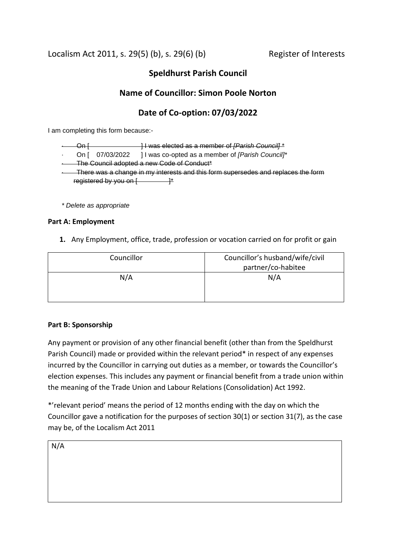Localism Act 2011, s. 29(5) (b), s. 29(6) (b) Register of Interests

# **Speldhurst Parish Council**

# **Name of Councillor: Simon Poole Norton**

# **Date of Co-option: 07/03/2022**

I am completing this form because:-

|                                            | ۱n.                                                                               | H was elected as a member of [Parish Council]*          |  |  |  |
|--------------------------------------------|-----------------------------------------------------------------------------------|---------------------------------------------------------|--|--|--|
|                                            | On [ 07/03/2022                                                                   | 1 was co-opted as a member of <i>[Parish Council]</i> * |  |  |  |
| The Council adopted a new Code of Conduct* |                                                                                   |                                                         |  |  |  |
|                                            | There was a change in my interests and this form supersedes and replaces the form |                                                         |  |  |  |
|                                            | registered by you on [                                                            |                                                         |  |  |  |
|                                            |                                                                                   |                                                         |  |  |  |

*\* Delete as appropriate*

#### **Part A: Employment**

**1.** Any Employment, office, trade, profession or vocation carried on for profit or gain

| Councillor | Councillor's husband/wife/civil |
|------------|---------------------------------|
|            | partner/co-habitee              |
| N/A        | N/A                             |
|            |                                 |

# **Part B: Sponsorship**

Any payment or provision of any other financial benefit (other than from the Speldhurst Parish Council) made or provided within the relevant period\* in respect of any expenses incurred by the Councillor in carrying out duties as a member, or towards the Councillor's election expenses. This includes any payment or financial benefit from a trade union within the meaning of the Trade Union and Labour Relations (Consolidation) Act 1992.

\*'relevant period' means the period of 12 months ending with the day on which the Councillor gave a notification for the purposes of section 30(1) or section 31(7), as the case may be, of the Localism Act 2011

N/A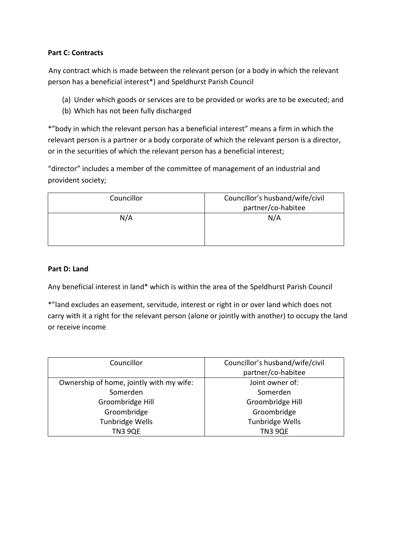# **Part C: Contracts**

 Any contract which is made between the relevant person (or a body in which the relevant person has a beneficial interest\*) and Speldhurst Parish Council

- (a) Under which goods or services are to be provided or works are to be executed; and
- (b) Which has not been fully discharged

\*"body in which the relevant person has a beneficial interest" means a firm in which the relevant person is a partner or a body corporate of which the relevant person is a director, or in the securities of which the relevant person has a beneficial interest;

"director" includes a member of the committee of management of an industrial and provident society;

| Councillor | Councillor's husband/wife/civil |
|------------|---------------------------------|
|            | partner/co-habitee              |
| N/A        | N/A                             |
|            |                                 |

### **Part D: Land**

Any beneficial interest in land\* which is within the area of the Speldhurst Parish Council

\*"land excludes an easement, servitude, interest or right in or over land which does not carry with it a right for the relevant person (alone or jointly with another) to occupy the land or receive income

| Councillor                               | Councillor's husband/wife/civil |
|------------------------------------------|---------------------------------|
|                                          | partner/co-habitee              |
| Ownership of home, jointly with my wife: | Joint owner of:                 |
| Somerden                                 | Somerden                        |
| Groombridge Hill                         | Groombridge Hill                |
| Groombridge                              | Groombridge                     |
| Tunbridge Wells                          | Tunbridge Wells                 |
| <b>TN3 9QE</b>                           | <b>TN3 9QE</b>                  |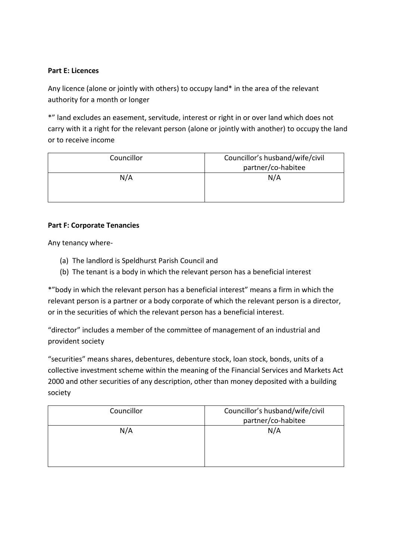# **Part E: Licences**

Any licence (alone or jointly with others) to occupy land\* in the area of the relevant authority for a month or longer

\*" land excludes an easement, servitude, interest or right in or over land which does not carry with it a right for the relevant person (alone or jointly with another) to occupy the land or to receive income

| partner/co-habitee |
|--------------------|
| N/A                |
|                    |

# **Part F: Corporate Tenancies**

Any tenancy where-

- (a) The landlord is Speldhurst Parish Council and
- (b) The tenant is a body in which the relevant person has a beneficial interest

\*"body in which the relevant person has a beneficial interest" means a firm in which the relevant person is a partner or a body corporate of which the relevant person is a director, or in the securities of which the relevant person has a beneficial interest.

"director" includes a member of the committee of management of an industrial and provident society

"securities" means shares, debentures, debenture stock, loan stock, bonds, units of a collective investment scheme within the meaning of the Financial Services and Markets Act 2000 and other securities of any description, other than money deposited with a building society

| Councillor | Councillor's husband/wife/civil<br>partner/co-habitee |
|------------|-------------------------------------------------------|
| N/A        | N/A                                                   |